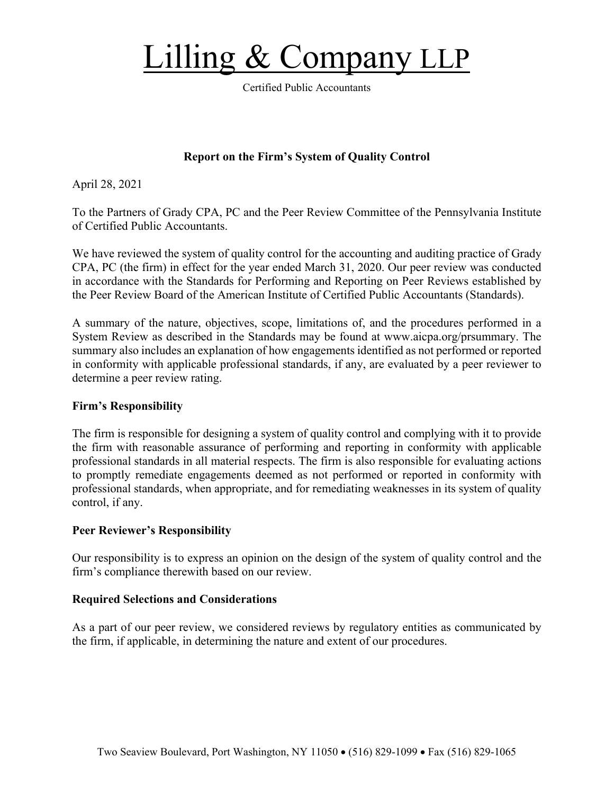# Lilling  $&$  Company L

Certified Public Accountants

## **Report on the Firm's System of Quality Control**

April 28, 2021

To the Partners of Grady CPA, PC and the Peer Review Committee of the Pennsylvania Institute of Certified Public Accountants.

We have reviewed the system of quality control for the accounting and auditing practice of Grady CPA, PC (the firm) in effect for the year ended March 31, 2020. Our peer review was conducted in accordance with the Standards for Performing and Reporting on Peer Reviews established by the Peer Review Board of the American Institute of Certified Public Accountants (Standards).

A summary of the nature, objectives, scope, limitations of, and the procedures performed in a System Review as described in the Standards may be found at www.aicpa.org/prsummary. The summary also includes an explanation of how engagements identified as not performed or reported in conformity with applicable professional standards, if any, are evaluated by a peer reviewer to determine a peer review rating.

#### **Firm's Responsibility**

The firm is responsible for designing a system of quality control and complying with it to provide the firm with reasonable assurance of performing and reporting in conformity with applicable professional standards in all material respects. The firm is also responsible for evaluating actions to promptly remediate engagements deemed as not performed or reported in conformity with professional standards, when appropriate, and for remediating weaknesses in its system of quality control, if any.

#### **Peer Reviewer's Responsibility**

Our responsibility is to express an opinion on the design of the system of quality control and the firm's compliance therewith based on our review.

#### **Required Selections and Considerations**

As a part of our peer review, we considered reviews by regulatory entities as communicated by the firm, if applicable, in determining the nature and extent of our procedures.